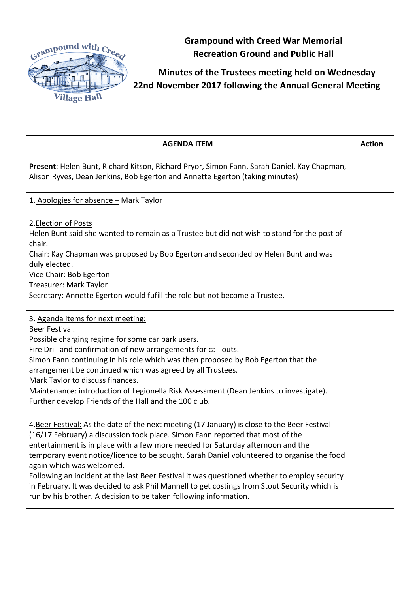

**Grampound with Creed War Memorial Recreation Ground and Public Hall**

## **Minutes of the Trustees meeting held on Wednesday 22nd November 2017 following the Annual General Meeting**

| <b>AGENDA ITEM</b>                                                                                                                                                                                                                                                                                                                                                                                                                                                                                                                                                                                                                                                | <b>Action</b> |
|-------------------------------------------------------------------------------------------------------------------------------------------------------------------------------------------------------------------------------------------------------------------------------------------------------------------------------------------------------------------------------------------------------------------------------------------------------------------------------------------------------------------------------------------------------------------------------------------------------------------------------------------------------------------|---------------|
| Present: Helen Bunt, Richard Kitson, Richard Pryor, Simon Fann, Sarah Daniel, Kay Chapman,<br>Alison Ryves, Dean Jenkins, Bob Egerton and Annette Egerton (taking minutes)                                                                                                                                                                                                                                                                                                                                                                                                                                                                                        |               |
| 1. Apologies for absence - Mark Taylor                                                                                                                                                                                                                                                                                                                                                                                                                                                                                                                                                                                                                            |               |
| 2. Election of Posts<br>Helen Bunt said she wanted to remain as a Trustee but did not wish to stand for the post of<br>chair.<br>Chair: Kay Chapman was proposed by Bob Egerton and seconded by Helen Bunt and was<br>duly elected.<br>Vice Chair: Bob Egerton<br>Treasurer: Mark Taylor<br>Secretary: Annette Egerton would fufill the role but not become a Trustee.                                                                                                                                                                                                                                                                                            |               |
| 3. Agenda items for next meeting:<br>Beer Festival.<br>Possible charging regime for some car park users.<br>Fire Drill and confirmation of new arrangements for call outs.<br>Simon Fann continuing in his role which was then proposed by Bob Egerton that the<br>arrangement be continued which was agreed by all Trustees.<br>Mark Taylor to discuss finances.<br>Maintenance: introduction of Legionella Risk Assessment (Dean Jenkins to investigate).<br>Further develop Friends of the Hall and the 100 club.                                                                                                                                              |               |
| 4. Beer Festival: As the date of the next meeting (17 January) is close to the Beer Festival<br>(16/17 February) a discussion took place. Simon Fann reported that most of the<br>entertainment is in place with a few more needed for Saturday afternoon and the<br>temporary event notice/licence to be sought. Sarah Daniel volunteered to organise the food<br>again which was welcomed.<br>Following an incident at the last Beer Festival it was questioned whether to employ security<br>in February. It was decided to ask Phil Mannell to get costings from Stout Security which is<br>run by his brother. A decision to be taken following information. |               |